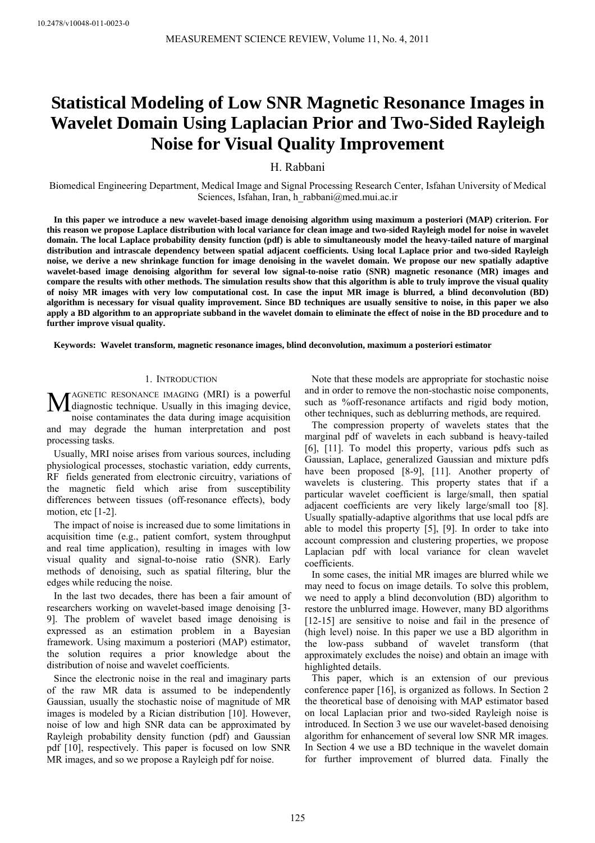# **Statistical Modeling of Low SNR Magnetic Resonance Images in Wavelet Domain Using Laplacian Prior and Two-Sided Rayleigh Noise for Visual Quality Improvement**

H. Rabbani

Biomedical Engineering Department, Medical Image and Signal Processing Research Center, Isfahan University of Medical Sciences, Isfahan, Iran, h\_rabbani@med.mui.ac.ir

**In this paper we introduce a new wavelet-based image denoising algorithm using maximum a posteriori (MAP) criterion. For this reason we propose Laplace distribution with local variance for clean image and two-sided Rayleigh model for noise in wavelet domain. The local Laplace probability density function (pdf) is able to simultaneously model the heavy-tailed nature of marginal distribution and intrascale dependency between spatial adjacent coefficients. Using local Laplace prior and two-sided Rayleigh noise, we derive a new shrinkage function for image denoising in the wavelet domain. We propose our new spatially adaptive wavelet-based image denoising algorithm for several low signal-to-noise ratio (SNR) magnetic resonance (MR) images and compare the results with other methods. The simulation results show that this algorithm is able to truly improve the visual quality of noisy MR images with very low computational cost. In case the input MR image is blurred, a blind deconvolution (BD) algorithm is necessary for visual quality improvement. Since BD techniques are usually sensitive to noise, in this paper we also apply a BD algorithm to an appropriate subband in the wavelet domain to eliminate the effect of noise in the BD procedure and to further improve visual quality.** 

**Keywords: Wavelet transform, magnetic resonance images, blind deconvolution, maximum a posteriori estimator** 

# 1. INTRODUCTION

AGNETIC RESONANCE IMAGING (MRI) is a powerful MAGNETIC RESONANCE IMAGING (MRI) is a powerful<br>diagnostic technique. Usually in this imaging device,<br>noise conteminates the data during image cognisition noise contaminates the data during image acquisition and may degrade the human interpretation and post processing tasks.

Usually, MRI noise arises from various sources, including physiological processes, stochastic variation, eddy currents, RF fields generated from electronic circuitry, variations of the magnetic field which arise from susceptibility differences between tissues (off-resonance effects), body motion, etc [1-2].

The impact of noise is increased due to some limitations in acquisition time (e.g., patient comfort, system throughput and real time application), resulting in images with low visual quality and signal-to-noise ratio (SNR). Early methods of denoising, such as spatial filtering, blur the edges while reducing the noise.

In the last two decades, there has been a fair amount of researchers working on wavelet-based image denoising [3- 9]. The problem of wavelet based image denoising is expressed as an estimation problem in a Bayesian framework. Using maximum a posteriori (MAP) estimator, the solution requires a prior knowledge about the distribution of noise and wavelet coefficients.

Since the electronic noise in the real and imaginary parts of the raw MR data is assumed to be independently Gaussian, usually the stochastic noise of magnitude of MR images is modeled by a Rician distribution [10]. However, noise of low and high SNR data can be approximated by Rayleigh probability density function (pdf) and Gaussian pdf [10], respectively. This paper is focused on low SNR MR images, and so we propose a Rayleigh pdf for noise.

Note that these models are appropriate for stochastic noise and in order to remove the non-stochastic noise components, such as %off-resonance artifacts and rigid body motion. other techniques, such as deblurring methods, are required.

The compression property of wavelets states that the marginal pdf of wavelets in each subband is heavy-tailed [6], [11]. To model this property, various pdfs such as Gaussian, Laplace, generalized Gaussian and mixture pdfs have been proposed [8-9], [11]. Another property of wavelets is clustering. This property states that if a particular wavelet coefficient is large/small, then spatial adjacent coefficients are very likely large/small too [8]. Usually spatially-adaptive algorithms that use local pdfs are able to model this property [5], [9]. In order to take into account compression and clustering properties, we propose Laplacian pdf with local variance for clean wavelet coefficients.

In some cases, the initial MR images are blurred while we may need to focus on image details. To solve this problem, we need to apply a blind deconvolution (BD) algorithm to restore the unblurred image. However, many BD algorithms [12-15] are sensitive to noise and fail in the presence of (high level) noise. In this paper we use a BD algorithm in the low-pass subband of wavelet transform (that approximately excludes the noise) and obtain an image with highlighted details.

This paper, which is an extension of our previous conference paper [16], is organized as follows. In Section 2 the theoretical base of denoising with MAP estimator based on local Laplacian prior and two-sided Rayleigh noise is introduced. In Section 3 we use our wavelet-based denoising algorithm for enhancement of several low SNR MR images. In Section 4 we use a BD technique in the wavelet domain for further improvement of blurred data. Finally the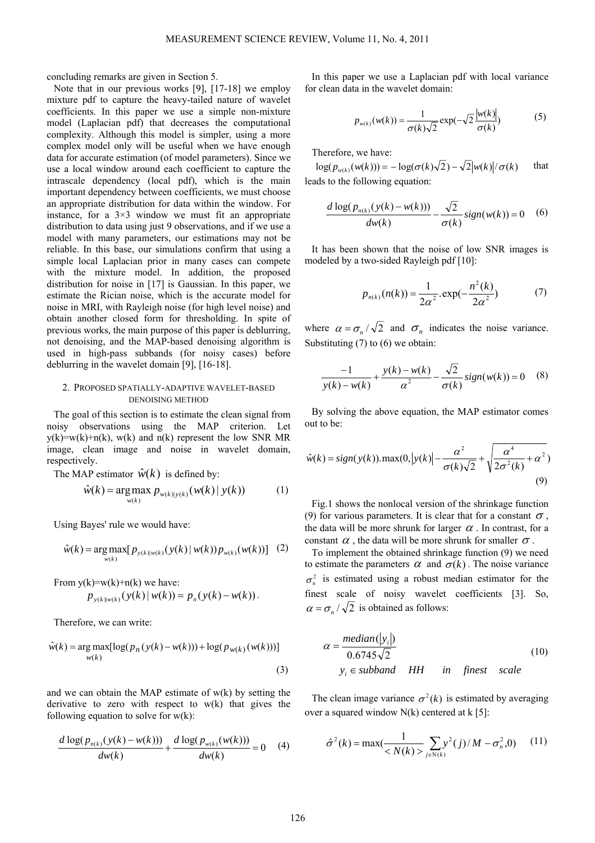concluding remarks are given in Section 5.

Note that in our previous works [9], [17-18] we employ mixture pdf to capture the heavy-tailed nature of wavelet coefficients. In this paper we use a simple non-mixture model (Laplacian pdf) that decreases the computational complexity. Although this model is simpler, using a more complex model only will be useful when we have enough data for accurate estimation (of model parameters). Since we use a local window around each coefficient to capture the intrascale dependency (local pdf), which is the main important dependency between coefficients, we must choose an appropriate distribution for data within the window. For instance, for a  $3\times3$  window we must fit an appropriate distribution to data using just 9 observations, and if we use a model with many parameters, our estimations may not be reliable. In this base, our simulations confirm that using a simple local Laplacian prior in many cases can compete with the mixture model. In addition, the proposed distribution for noise in [17] is Gaussian. In this paper, we estimate the Rician noise, which is the accurate model for noise in MRI, with Rayleigh noise (for high level noise) and obtain another closed form for thresholding. In spite of previous works, the main purpose of this paper is deblurring, not denoising, and the MAP-based denoising algorithm is used in high-pass subbands (for noisy cases) before deblurring in the wavelet domain [9], [16-18].

# 2. PROPOSED SPATIALLY-ADAPTIVE WAVELET-BASED DENOISING METHOD

The goal of this section is to estimate the clean signal from noisy observations using the MAP criterion. Let  $y(k)=w(k)+n(k)$ , w(k) and  $n(k)$  represent the low SNR MR image, clean image and noise in wavelet domain, respectively.

The MAP estimator  $\hat{w}(k)$  is defined by:

$$
\hat{w}(k) = \underset{w(k)}{\arg \max} \ p_{w(k)|y(k)}(w(k) | y(k)) \tag{1}
$$

Using Bayes' rule we would have:

$$
\hat{w}(k) = \arg \max_{w(k)} \left[ p_{y(k)|w(k)}(y(k) | w(k)) p_{w(k)}(w(k)) \right] (2)
$$

From y(k)=w(k)+n(k) we have:  
\n
$$
p_{y(k)|w(k)}(y(k)|w(k)) = p_n(y(k) - w(k)).
$$

Therefore, we can write:

$$
\hat{w}(k) = \arg \max_{w(k)} [\log(p_n(y(k) - w(k))) + \log(p_{w(k)}(w(k)))]
$$
\n(3)

and we can obtain the MAP estimate of  $w(k)$  by setting the derivative to zero with respect to  $w(k)$  that gives the following equation to solve for  $w(k)$ :

$$
\frac{d \log(p_{n(k)}(y(k) - w(k)))}{dw(k)} + \frac{d \log(p_{w(k)}(w(k)))}{dw(k)} = 0 \quad (4)
$$

In this paper we use a Laplacian pdf with local variance for clean data in the wavelet domain:

$$
p_{w(k)}(w(k)) = \frac{1}{\sigma(k)\sqrt{2}} \exp(-\sqrt{2} \frac{|w(k)|}{\sigma(k)})
$$
 (5)

Therefore, we have:

 $\log(p_{w(k)}(w(k))) = -\log(\sigma(k)\sqrt{2}) - \sqrt{2}|w(k)|/\sigma(k)$  that leads to the following equation:

$$
\frac{d \log(p_{n(k)}(y(k)-w(k)))}{dw(k)} - \frac{\sqrt{2}}{\sigma(k)} sign(w(k)) = 0 \quad (6)
$$

It has been shown that the noise of low SNR images is modeled by a two-sided Rayleigh pdf [10]:

$$
p_{n(k)}(n(k)) = \frac{1}{2\alpha^2} \cdot \exp(-\frac{n^2(k)}{2\alpha^2})
$$
 (7)

where  $\alpha = \sigma_n / \sqrt{2}$  and  $\sigma_n$  indicates the noise variance. Substituting (7) to (6) we obtain:

$$
\frac{-1}{y(k)-w(k)} + \frac{y(k)-w(k)}{\alpha^2} - \frac{\sqrt{2}}{\sigma(k)} sign(w(k)) = 0
$$
 (8)

By solving the above equation, the MAP estimator comes out to be:

$$
\hat{w}(k) = sign(y(k)).\max(0,|y(k)| - \frac{\alpha^2}{\sigma(k)\sqrt{2}} + \sqrt{\frac{\alpha^4}{2\sigma^2(k)}} + \alpha^2)
$$
\n(9)

Fig.1 shows the nonlocal version of the shrinkage function (9) for various parameters. It is clear that for a constant  $\sigma$ , the data will be more shrunk for larger  $\alpha$ . In contrast, for a constant  $\alpha$ , the data will be more shrunk for smaller  $\sigma$ .

To implement the obtained shrinkage function (9) we need to estimate the parameters  $\alpha$  and  $\sigma(k)$ . The noise variance  $\sigma_n^2$  is estimated using a robust median estimator for the finest scale of noisy wavelet coefficients [3]. So,  $\alpha = \sigma$  / $\sqrt{2}$  is obtained as follows:

$$
\alpha = \frac{median(|y_i|)}{0.6745\sqrt{2}}
$$
  
  $y_i \in subband \quad HH \quad in \quad finest \quad scale$  (10)

The clean image variance  $\sigma^2(k)$  is estimated by averaging over a squared window  $N(k)$  centered at  $k$  [5]:

$$
\hat{\sigma}^2(k) = \max(\frac{1}{\langle N(k) \rangle} \sum_{j \in N(k)} y^2(j) / M - \sigma_n^2, 0) \tag{11}
$$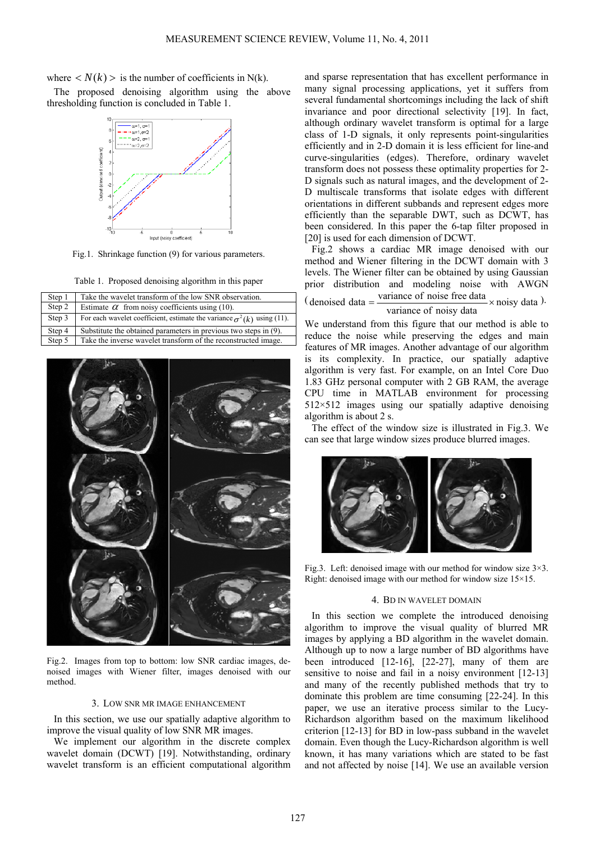where  $\langle N(k) \rangle$  is the number of coefficients in N(k).

The proposed denoising algorithm using the above thresholding function is concluded in Table 1.



Fig.1. Shrinkage function (9) for various parameters.

Table 1. Proposed denoising algorithm in this paper

| Step 1 | Take the wavelet transform of the low SNR observation.                        |
|--------|-------------------------------------------------------------------------------|
| Step 2 | Estimate $\alpha$ from noisy coefficients using (10).                         |
| Step 3 | For each wavelet coefficient, estimate the variance $\sigma^2(k)$ using (11). |
| Step 4 | Substitute the obtained parameters in previous two steps in (9).              |
| Step 5 | Take the inverse wavelet transform of the reconstructed image.                |



Fig.2. Images from top to bottom: low SNR cardiac images, denoised images with Wiener filter, images denoised with our method.

### 3. LOW SNR MR IMAGE ENHANCEMENT

In this section, we use our spatially adaptive algorithm to improve the visual quality of low SNR MR images.

We implement our algorithm in the discrete complex wavelet domain (DCWT) [19]. Notwithstanding, ordinary wavelet transform is an efficient computational algorithm and sparse representation that has excellent performance in many signal processing applications, yet it suffers from several fundamental shortcomings including the lack of shift invariance and poor directional selectivity [19]. In fact, although ordinary wavelet transform is optimal for a large class of 1-D signals, it only represents point-singularities efficiently and in 2-D domain it is less efficient for line-and curve-singularities (edges). Therefore, ordinary wavelet transform does not possess these optimality properties for 2- D signals such as natural images, and the development of 2- D multiscale transforms that isolate edges with different orientations in different subbands and represent edges more efficiently than the separable DWT, such as DCWT, has been considered. In this paper the 6-tap filter proposed in [20] is used for each dimension of DCWT.

Fig.2 shows a cardiac MR image denoised with our method and Wiener filtering in the DCWT domain with 3 levels. The Wiener filter can be obtained by using Gaussian prior distribution and modeling noise with AWGN (denoised data =  $\frac{\text{variance of noise free data}}{\text{maxmax}} \times \text{noisy data}$ ).

# variance of noisy data

We understand from this figure that our method is able to reduce the noise while preserving the edges and main features of MR images. Another advantage of our algorithm is its complexity. In practice, our spatially adaptive algorithm is very fast. For example, on an Intel Core Duo 1.83 GHz personal computer with 2 GB RAM, the average CPU time in MATLAB environment for processing  $512\times512$  images using our spatially adaptive denoising algorithm is about 2 s.

The effect of the window size is illustrated in Fig.3. We can see that large window sizes produce blurred images.



Fig.3. Left: denoised image with our method for window size 3×3. Right: denoised image with our method for window size 15×15.

## 4. BD IN WAVELET DOMAIN

In this section we complete the introduced denoising algorithm to improve the visual quality of blurred MR images by applying a BD algorithm in the wavelet domain. Although up to now a large number of BD algorithms have been introduced [12-16], [22-27], many of them are sensitive to noise and fail in a noisy environment [12-13] and many of the recently published methods that try to dominate this problem are time consuming [22-24]. In this paper, we use an iterative process similar to the Lucy-Richardson algorithm based on the maximum likelihood criterion [12-13] for BD in low-pass subband in the wavelet domain. Even though the Lucy-Richardson algorithm is well known, it has many variations which are stated to be fast and not affected by noise [14]. We use an available version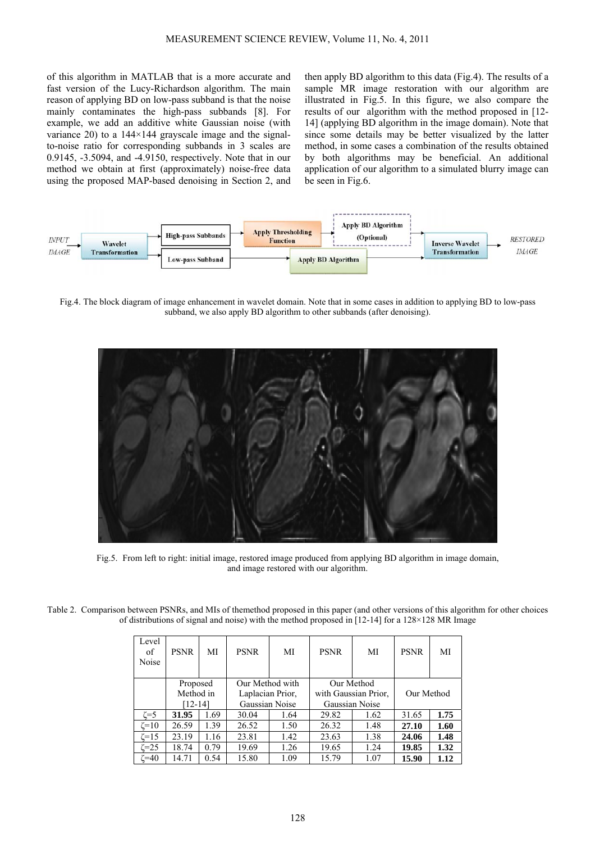of this algorithm in MATLAB that is a more accurate and fast version of the Lucy-Richardson algorithm. The main reason of applying BD on low-pass subband is that the noise mainly contaminates the high-pass subbands [8]. For example, we add an additive white Gaussian noise (with variance 20) to a  $144\times144$  grayscale image and the signalto-noise ratio for corresponding subbands in 3 scales are 0.9145, -3.5094, and -4.9150, respectively. Note that in our method we obtain at first (approximately) noise-free data using the proposed MAP-based denoising in Section 2, and then apply BD algorithm to this data (Fig.4). The results of a sample MR image restoration with our algorithm are illustrated in Fig.5. In this figure, we also compare the results of our algorithm with the method proposed in [12- 14] (applying BD algorithm in the image domain). Note that since some details may be better visualized by the latter method, in some cases a combination of the results obtained by both algorithms may be beneficial. An additional application of our algorithm to a simulated blurry image can be seen in Fig.6.



Fig.4. The block diagram of image enhancement in wavelet domain. Note that in some cases in addition to applying BD to low-pass subband, we also apply BD algorithm to other subbands (after denoising).



Fig.5. From left to right: initial image, restored image produced from applying BD algorithm in image domain, and image restored with our algorithm.

Table 2. Comparison between PSNRs, and MIs of themethod proposed in this paper (and other versions of this algorithm for other choices of distributions of signal and noise) with the method proposed in [12-14] for a 128×128 MR Image

| Level<br>of<br>Noise | <b>PSNR</b>                      | MI   | <b>PSNR</b>                                           | МI   | <b>PSNR</b>                                          | MI   | <b>PSNR</b> | MI   |
|----------------------|----------------------------------|------|-------------------------------------------------------|------|------------------------------------------------------|------|-------------|------|
|                      | Proposed<br>Method in<br>[12-14] |      | Our Method with<br>Laplacian Prior,<br>Gaussian Noise |      | Our Method<br>with Gaussian Prior,<br>Gaussian Noise |      | Our Method  |      |
| C=5                  | 31.95                            | 1.69 | 30.04                                                 | 1.64 | 29.82                                                | 1.62 | 31.65       | 1.75 |
| ζ=10                 | 26.59                            | 1.39 | 26.52                                                 | 1.50 | 26.32                                                | 1.48 | 27.10       | 1.60 |
| $\leq$ 15            | 23.19                            | 1.16 | 23.81                                                 | 1.42 | 23.63                                                | 1.38 | 24.06       | 1.48 |
| $=25$                | 18.74                            | 0.79 | 19.69                                                 | 1.26 | 19.65                                                | 1.24 | 19.85       | 1.32 |
| $z = 40$             | 14.71                            | 0.54 | 15.80                                                 | 1.09 | 15.79                                                | 1.07 | 15.90       | 1.12 |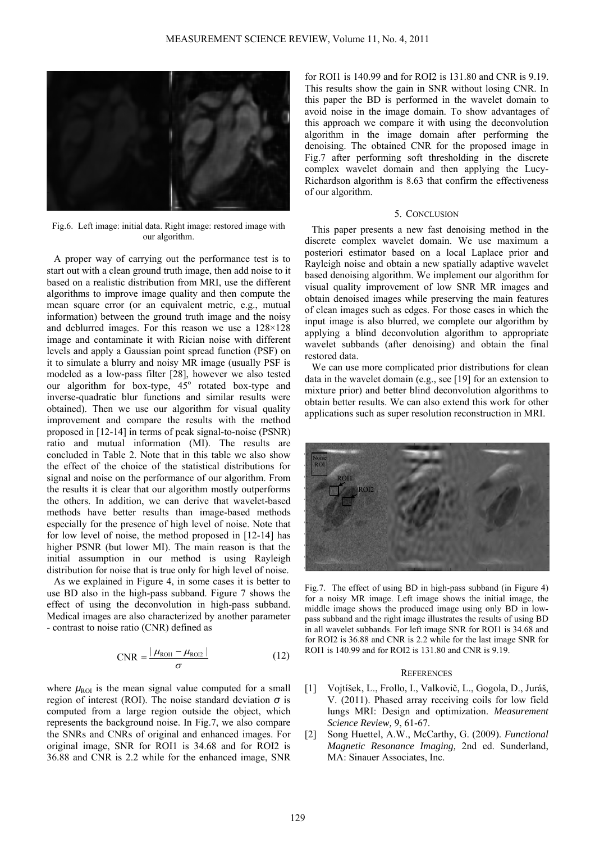

Fig.6. Left image: initial data. Right image: restored image with our algorithm.

A proper way of carrying out the performance test is to start out with a clean ground truth image, then add noise to it based on a realistic distribution from MRI, use the different algorithms to improve image quality and then compute the mean square error (or an equivalent metric, e.g., mutual information) between the ground truth image and the noisy and deblurred images. For this reason we use a 128×128 image and contaminate it with Rician noise with different levels and apply a Gaussian point spread function (PSF) on it to simulate a blurry and noisy MR image (usually PSF is modeled as a low-pass filter [28], however we also tested our algorithm for box-type,  $45^{\circ}$  rotated box-type and inverse-quadratic blur functions and similar results were obtained). Then we use our algorithm for visual quality improvement and compare the results with the method proposed in [12-14] in terms of peak signal-to-noise (PSNR) ratio and mutual information (MI). The results are concluded in Table 2. Note that in this table we also show the effect of the choice of the statistical distributions for signal and noise on the performance of our algorithm. From the results it is clear that our algorithm mostly outperforms the others. In addition, we can derive that wavelet-based methods have better results than image-based methods especially for the presence of high level of noise. Note that for low level of noise, the method proposed in [12-14] has higher PSNR (but lower MI). The main reason is that the initial assumption in our method is using Rayleigh distribution for noise that is true only for high level of noise.

As we explained in Figure 4, in some cases it is better to use BD also in the high-pass subband. Figure 7 shows the effect of using the deconvolution in high-pass subband. Medical images are also characterized by another parameter - contrast to noise ratio (CNR) defined as

$$
CNR = \frac{|\mu_{ROI1} - \mu_{ROI2}|}{\sigma} \tag{12}
$$

where  $\mu_{\text{ROI}}$  is the mean signal value computed for a small region of interest (ROI). The noise standard deviation *σ* is computed from a large region outside the object, which represents the background noise. In Fig.7, we also compare the SNRs and CNRs of original and enhanced images. For original image, SNR for ROI1 is 34.68 and for ROI2 is 36.88 and CNR is 2.2 while for the enhanced image, SNR

for ROI1 is 140.99 and for ROI2 is 131.80 and CNR is 9.19. This results show the gain in SNR without losing CNR. In this paper the BD is performed in the wavelet domain to avoid noise in the image domain. To show advantages of this approach we compare it with using the deconvolution algorithm in the image domain after performing the denoising. The obtained CNR for the proposed image in Fig.7 after performing soft thresholding in the discrete complex wavelet domain and then applying the Lucy-Richardson algorithm is 8.63 that confirm the effectiveness of our algorithm.

# 5. CONCLUSION

This paper presents a new fast denoising method in the discrete complex wavelet domain. We use maximum a posteriori estimator based on a local Laplace prior and Rayleigh noise and obtain a new spatially adaptive wavelet based denoising algorithm. We implement our algorithm for visual quality improvement of low SNR MR images and obtain denoised images while preserving the main features of clean images such as edges. For those cases in which the input image is also blurred, we complete our algorithm by applying a blind deconvolution algorithm to appropriate wavelet subbands (after denoising) and obtain the final restored data.

We can use more complicated prior distributions for clean data in the wavelet domain (e.g., see [19] for an extension to mixture prior) and better blind deconvolution algorithms to obtain better results. We can also extend this work for other applications such as super resolution reconstruction in MRI.



Fig.7. The effect of using BD in high-pass subband (in Figure 4) for a noisy MR image. Left image shows the initial image, the middle image shows the produced image using only BD in lowpass subband and the right image illustrates the results of using BD in all wavelet subbands. For left image SNR for ROI1 is 34.68 and for ROI2 is 36.88 and CNR is 2.2 while for the last image SNR for ROI1 is 140.99 and for ROI2 is 131.80 and CNR is 9.19.

#### **REFERENCES**

- [1] Vojtíšek, L., Frollo, I., Valkovič, L., Gogola, D., Juráš, V. (2011). Phased array receiving coils for low field lungs MRI: Design and optimization. *Measurement Science Review,* 9, 61-67.
- [2] Song Huettel, A.W., McCarthy, G. (2009). *Functional Magnetic Resonance Imaging,* 2nd ed. Sunderland, MA: Sinauer Associates, Inc.